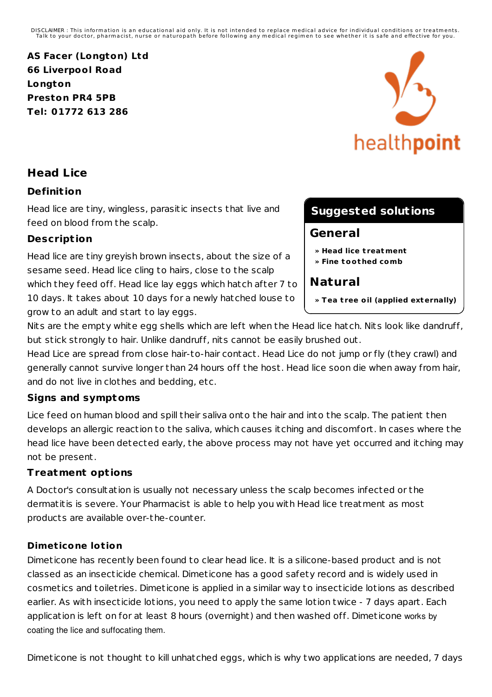DISCLAIMER : This information is an educational aid only. It is not intended to replace medical advice for individual conditions or treatments.<br>Talk to your doctor, pharmacist, nurse or naturopath before following any medi

**AS Facer (Longton) Ltd 66 Liverpool Road Longton Preston PR4 5PB Tel: 01772 613 286**



# **Head Lice**

## **Definit ion**

Head lice are tiny, wingless, parasitic insects that live and feed on blood from the scalp.

## **Descript ion**

Head lice are tiny greyish brown insects, about the size of a sesame seed. Head lice cling to hairs, close to the scalp which they feed off. Head lice lay eggs which hatch after 7 to 10 days. It takes about 10 days for a newly hatched louse to grow to an adult and start to lay eggs.

# **Suggested solutions**

# **General**

- **» Head lice t reatment**
- **» Fine toot hed comb**

# **Natural**

**» Tea t ree oil (applied externally)**

Nits are the empty white egg shells which are left when the Head lice hatch. Nits look like dandruff, but stick st rongly to hair. Unlike dandruff, nits cannot be easily brushed out.

Head Lice are spread from close hair-to-hair contact. Head Lice do not jump or fly (they crawl) and generally cannot survive longer than 24 hours off the host. Head lice soon die when away from hair, and do not live in clothes and bedding, etc.

# **Signs and symptoms**

Lice feed on human blood and spill their saliva onto the hair and into the scalp. The patient then develops an allergic reaction to the saliva, which causes itching and discomfort. In cases where the head lice have been detected early, the above process may not have yet occurred and itching may not be present.

#### **Treatment opt ions**

A Doctor's consultation is usually not necessary unless the scalp becomes infected or the dermatitis is severe. Your Pharmacist is able to help you with Head lice t reatment as most products are available over-the-counter.

#### **Dimeticone lotion**

Dimeticone has recently been found to clear head lice. It is a silicone-based product and is not classed as an insecticide chemical. Dimeticone has a good safety record and is widely used in cosmetics and toilet ries. Dimeticone is applied in a similar way to insecticide lotions as described earlier. As with insecticide lotions, you need to apply the same lotion twice - 7 days apart. Each application is left on for at least 8 hours (overnight) and then washed off. Dimeticone works by coating the lice and suffocating them.

Dimeticone is not thought to kill unhatched eggs, which is why two applications are needed, 7 days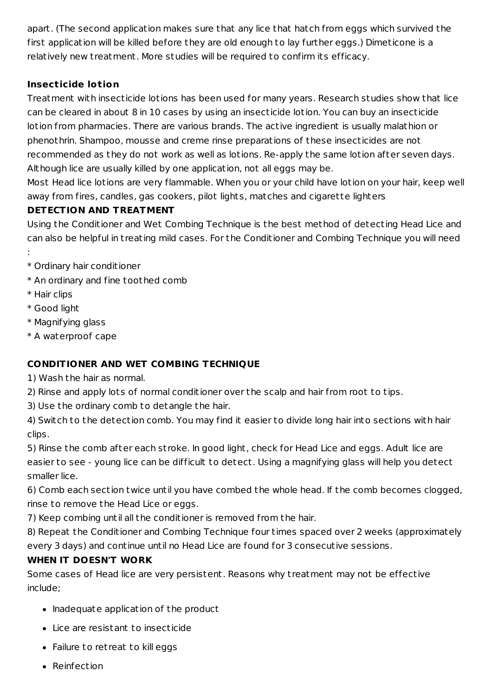apart. (The second application makes sure that any lice that hatch from eggs which survived the first application will be killed before they are old enough to lay further eggs.) Dimeticone is a relatively new t reatment. More studies will be required to confirm its efficacy.

# **Insecticide lotion**

Treatment with insecticide lotions has been used for many years. Research studies show that lice can be cleared in about 8 in 10 cases by using an insecticide lotion. You can buy an insecticide lotion from pharmacies. There are various brands. The active ingredient is usually malathion or phenothrin. Shampoo, mousse and creme rinse preparations of these insecticides are not recommended as they do not work as well as lotions. Re-apply the same lotion after seven days. Although lice are usually killed by one application, not all eggs may be.

Most Head lice lotions are very flammable. When you or your child have lotion on your hair, keep well away from fires, candles, gas cookers, pilot lights, matches and cigarette lighters

## **DETECTION AND TREATMENT**

Using the Conditioner and Wet Combing Technique is the best method of detecting Head Lice and can also be helpful in t reating mild cases. For the Conditioner and Combing Technique you will need

- :
- \* Ordinary hair conditioner
- \* An ordinary and fine toothed comb
- \* Hair clips
- \* Good light
- \* Magnifying glass
- \* A waterproof cape

# **CONDITIONER AND WET COMBING TECHNIQUE**

1) Wash the hair as normal.

2) Rinse and apply lots of normal conditioner over the scalp and hair from root to tips.

3) Use the ordinary comb to detangle the hair.

4) Switch to the detection comb. You may find it easier to divide long hair into sections with hair clips.

5) Rinse the comb after each st roke. In good light, check for Head Lice and eggs. Adult lice are easier to see - young lice can be difficult to detect. Using a magnifying glass will help you detect smaller lice.

6) Comb each section twice until you have combed the whole head. If the comb becomes clogged, rinse to remove the Head Lice or eggs.

7) Keep combing until all the conditioner is removed from the hair.

8) Repeat the Conditioner and Combing Technique four times spaced over 2 weeks (approximately every 3 days) and continue until no Head Lice are found for 3 consecutive sessions.

#### **WHEN IT DOESN'T WORK**

Some cases of Head lice are very persistent. Reasons why t reatment may not be effective include;

- Inadequate application of the product
- Lice are resistant to insecticide
- Failure to retreat to kill eggs
- Reinfection